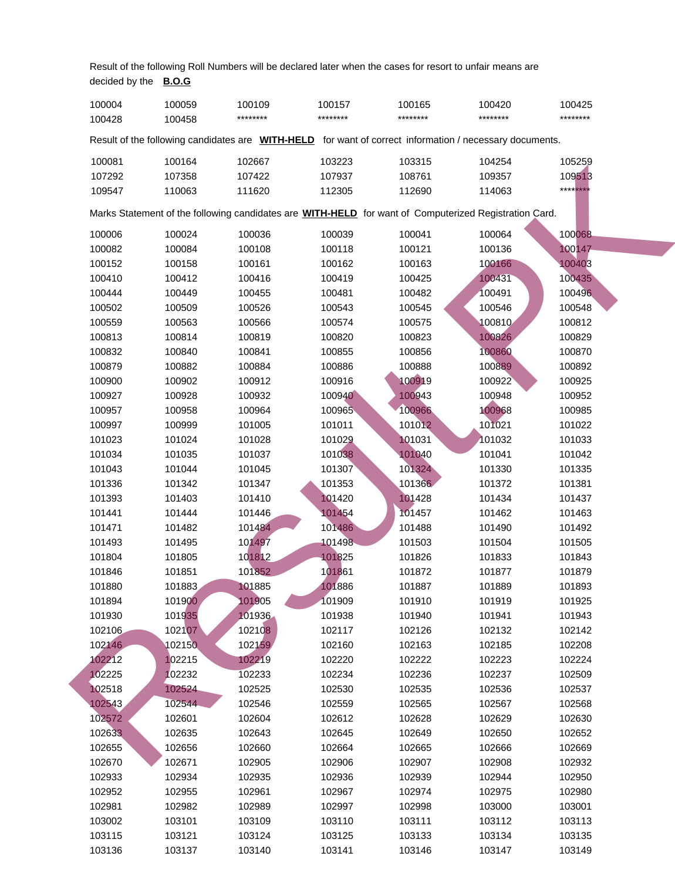Result of the following Roll Numbers will be declared later when the cases for resort to unfair means are decided by the **B.O.G**

| 100004 | 100059 | 100109   | 100157   | 100165   | 100420                                                                                                         | 100425                  |  |
|--------|--------|----------|----------|----------|----------------------------------------------------------------------------------------------------------------|-------------------------|--|
| 100428 | 100458 | ******** | ******** | ******** | ********                                                                                                       | ********                |  |
|        |        |          |          |          | Result of the following candidates are <b>WITH-HELD</b> for want of correct information / necessary documents. |                         |  |
| 100081 | 100164 | 102667   | 103223   | 103315   | 104254                                                                                                         | 105259                  |  |
| 107292 | 107358 | 107422   | 107937   | 108761   | 109357                                                                                                         | 109513                  |  |
| 109547 | 110063 | 111620   | 112305   | 112690   | 114063                                                                                                         | **** <mark>***</mark> * |  |
|        |        |          |          |          | Marks Statement of the following candidates are <b>WITH-HELD</b> for want of Computerized Registration Card.   |                         |  |
| 100006 | 100024 | 100036   | 100039   | 100041   | 100064                                                                                                         | 100068                  |  |
| 100082 | 100084 | 100108   | 100118   | 100121   | 100136                                                                                                         | 100147                  |  |
| 100152 | 100158 | 100161   | 100162   | 100163   | 100166                                                                                                         | 100403                  |  |
| 100410 | 100412 | 100416   | 100419   | 100425   | 100431                                                                                                         | 100435                  |  |
| 100444 | 100449 | 100455   | 100481   | 100482   | 100491                                                                                                         | 100496                  |  |
| 100502 | 100509 | 100526   | 100543   | 100545   | 100546                                                                                                         | 100548                  |  |
| 100559 | 100563 | 100566   | 100574   | 100575   | 100810                                                                                                         | 100812                  |  |
| 100813 | 100814 | 100819   | 100820   | 100823   | 100826                                                                                                         | 100829                  |  |
| 100832 | 100840 | 100841   | 100855   | 100856   | 100860                                                                                                         | 100870                  |  |
| 100879 | 100882 | 100884   | 100886   | 100888   | 100889                                                                                                         | 100892                  |  |
| 100900 | 100902 | 100912   | 100916   | 100919   | 100922                                                                                                         | 100925                  |  |
| 100927 | 100928 | 100932   | 100940   | 100943   | 100948                                                                                                         | 100952                  |  |
| 100957 | 100958 | 100964   | 100965   | 100966   | 100968                                                                                                         | 100985                  |  |
| 100997 | 100999 | 101005   | 101011   | 101012   | 101021                                                                                                         | 101022                  |  |
| 101023 | 101024 | 101028   | 101029   | 101031   | 101032                                                                                                         | 101033                  |  |
| 101034 | 101035 | 101037   | 101038   | 101040   | 101041                                                                                                         | 101042                  |  |
| 101043 | 101044 | 101045   | 101307   | 101324   | 101330                                                                                                         | 101335                  |  |
| 101336 | 101342 | 101347   | 101353   | 101366   | 101372                                                                                                         | 101381                  |  |
| 101393 | 101403 | 101410   | 101420   | 101428   | 101434                                                                                                         | 101437                  |  |
| 101441 | 101444 | 101446   | 101454   | 101457   | 101462                                                                                                         | 101463                  |  |
| 101471 | 101482 | 101484   | 101486   | 101488   | 101490                                                                                                         | 101492                  |  |
| 101493 | 101495 | 101497   | 101498   | 101503   | 101504                                                                                                         | 101505                  |  |
| 101804 | 101805 | 101812   | 101825   | 101826   | 101833                                                                                                         | 101843                  |  |
| 101846 | 101851 | 101852   | 101861   | 101872   | 101877                                                                                                         | 101879                  |  |
| 101880 | 101883 | 101885   | 101886   | 101887   | 101889                                                                                                         | 101893                  |  |
| 101894 | 101900 | 101905   | 101909   | 101910   | 101919                                                                                                         | 101925                  |  |
| 101930 | 101935 | 101936   | 101938   | 101940   | 101941                                                                                                         | 101943                  |  |
| 102106 | 102107 | 102108   | 102117   | 102126   | 102132                                                                                                         | 102142                  |  |
| 102146 | 102150 | 102159   | 102160   | 102163   | 102185                                                                                                         | 102208                  |  |
| 102212 | 102215 | 102219   | 102220   | 102222   | 102223                                                                                                         | 102224                  |  |
| 102225 | 102232 | 102233   | 102234   | 102236   | 102237                                                                                                         | 102509                  |  |
| 102518 | 102524 | 102525   | 102530   | 102535   | 102536                                                                                                         | 102537                  |  |
| 102543 | 102544 | 102546   | 102559   | 102565   | 102567                                                                                                         | 102568                  |  |
| 102572 | 102601 | 102604   | 102612   | 102628   | 102629                                                                                                         | 102630                  |  |
| 102633 | 102635 | 102643   | 102645   | 102649   | 102650                                                                                                         | 102652                  |  |
| 102655 | 102656 | 102660   | 102664   | 102665   | 102666                                                                                                         | 102669                  |  |
| 102670 | 102671 | 102905   | 102906   | 102907   | 102908                                                                                                         | 102932                  |  |
| 102933 | 102934 | 102935   | 102936   | 102939   | 102944                                                                                                         | 102950                  |  |
| 102952 | 102955 | 102961   | 102967   | 102974   | 102975                                                                                                         | 102980                  |  |
| 102981 | 102982 | 102989   | 102997   | 102998   | 103000                                                                                                         | 103001                  |  |
| 103002 | 103101 | 103109   | 103110   | 103111   | 103112                                                                                                         | 103113                  |  |
| 103115 | 103121 | 103124   | 103125   | 103133   | 103134                                                                                                         | 103135                  |  |
| 103136 | 103137 | 103140   | 103141   | 103146   | 103147                                                                                                         | 103149                  |  |
|        |        |          |          |          |                                                                                                                |                         |  |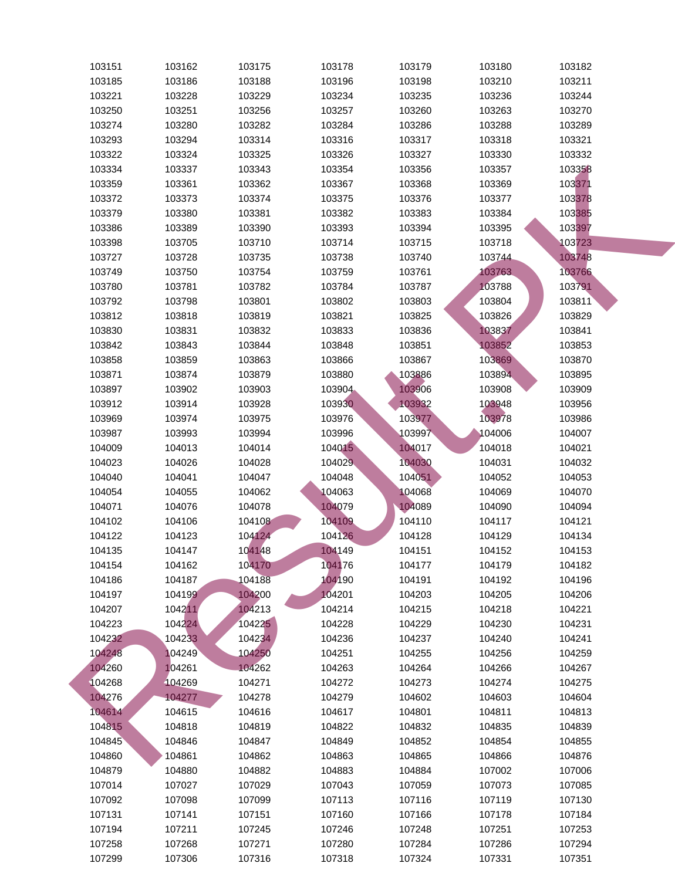| 103151 | 103162 | 103175 | 103178  | 103179 | 103180 | 103182 |
|--------|--------|--------|---------|--------|--------|--------|
| 103185 | 103186 | 103188 | 103196  | 103198 | 103210 | 103211 |
| 103221 | 103228 | 103229 | 103234  | 103235 | 103236 | 103244 |
| 103250 | 103251 | 103256 | 103257  | 103260 | 103263 | 103270 |
| 103274 | 103280 | 103282 | 103284  | 103286 | 103288 | 103289 |
| 103293 | 103294 | 103314 | 103316  | 103317 | 103318 | 103321 |
| 103322 | 103324 | 103325 | 103326  | 103327 | 103330 | 103332 |
| 103334 | 103337 | 103343 | 103354  | 103356 | 103357 | 103358 |
| 103359 | 103361 | 103362 | 103367  | 103368 | 103369 | 103371 |
| 103372 | 103373 | 103374 | 103375  | 103376 | 103377 | 103378 |
| 103379 | 103380 | 103381 | 103382  | 103383 | 103384 | 103385 |
| 103386 | 103389 | 103390 | 103393  | 103394 | 103395 | 103397 |
| 103398 | 103705 | 103710 | 103714  | 103715 | 103718 | 103723 |
| 103727 | 103728 | 103735 | 103738  | 103740 | 103744 | 103748 |
| 103749 | 103750 | 103754 | 103759  | 103761 | 103763 | 103766 |
| 103780 | 103781 | 103782 | 103784  | 103787 | 103788 | 103791 |
| 103792 | 103798 | 103801 | 103802  | 103803 | 103804 | 103811 |
| 103812 | 103818 | 103819 | 103821  | 103825 | 103826 | 103829 |
| 103830 | 103831 | 103832 | 103833  | 103836 | 103837 | 103841 |
| 103842 | 103843 | 103844 | 103848  | 103851 | 103852 | 103853 |
| 103858 | 103859 | 103863 | 103866  | 103867 | 103869 | 103870 |
| 103871 | 103874 | 103879 | 103880  | 103886 | 103894 | 103895 |
| 103897 | 103902 | 103903 | 103904. | 103906 | 103908 | 103909 |
| 103912 | 103914 | 103928 | 103930  | 103932 | 103948 | 103956 |
| 103969 | 103974 | 103975 | 103976  | 103977 | 103978 | 103986 |
| 103987 | 103993 | 103994 | 103996  | 103997 | 104006 | 104007 |
| 104009 | 104013 | 104014 | 104015  | 104017 | 104018 | 104021 |
| 104023 | 104026 | 104028 | 104029  | 104030 | 104031 | 104032 |
| 104040 | 104041 | 104047 | 104048  | 104051 | 104052 | 104053 |
| 104054 | 104055 | 104062 | 104063  | 104068 | 104069 | 104070 |
| 104071 | 104076 | 104078 | 104079  | 104089 | 104090 | 104094 |
| 104102 | 104106 | 104108 | 104109  | 104110 | 104117 | 104121 |
| 104122 | 104123 | 104124 | 104126  | 104128 | 104129 | 104134 |
| 104135 | 104147 | 104148 | 104149  | 104151 | 104152 | 104153 |
| 104154 | 104162 | 104170 | 104176  | 104177 | 104179 | 104182 |
| 104186 | 104187 | 104188 | 104190  | 104191 | 104192 | 104196 |
| 104197 | 104199 | 104200 | 104201  | 104203 | 104205 | 104206 |
| 104207 | 104211 | 104213 | 104214  | 104215 | 104218 | 104221 |
| 104223 | 104224 | 104225 | 104228  | 104229 | 104230 | 104231 |
| 104232 | 104233 | 104234 | 104236  | 104237 | 104240 | 104241 |
| 104248 | 104249 | 104250 | 104251  | 104255 | 104256 | 104259 |
| 104260 | 104261 | 104262 | 104263  | 104264 | 104266 | 104267 |
| 104268 | 104269 | 104271 | 104272  | 104273 | 104274 | 104275 |
| 104276 | 104277 | 104278 | 104279  | 104602 | 104603 | 104604 |
| 104614 | 104615 | 104616 | 104617  | 104801 | 104811 | 104813 |
| 104815 | 104818 | 104819 | 104822  | 104832 | 104835 | 104839 |
| 104845 | 104846 | 104847 | 104849  | 104852 | 104854 | 104855 |
| 104860 | 104861 | 104862 | 104863  | 104865 | 104866 | 104876 |
| 104879 | 104880 | 104882 | 104883  | 104884 | 107002 | 107006 |
| 107014 | 107027 | 107029 | 107043  | 107059 | 107073 | 107085 |
| 107092 | 107098 | 107099 | 107113  | 107116 | 107119 | 107130 |
| 107131 | 107141 | 107151 | 107160  | 107166 | 107178 | 107184 |
| 107194 | 107211 | 107245 | 107246  | 107248 | 107251 | 107253 |
| 107258 | 107268 | 107271 | 107280  | 107284 | 107286 | 107294 |
| 107299 | 107306 | 107316 | 107318  | 107324 | 107331 | 107351 |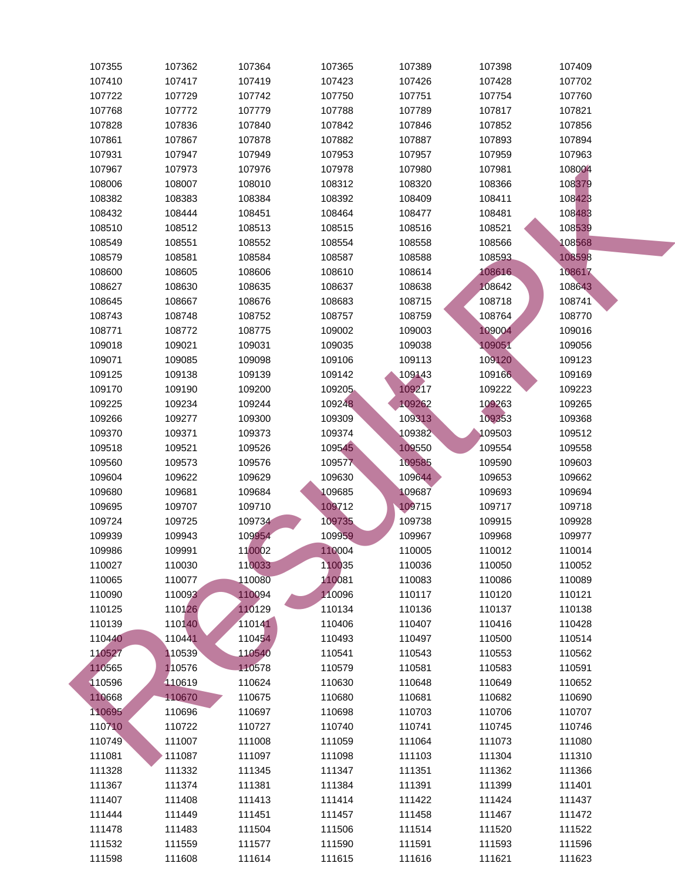| 107355 | 107362 | 107364 | 107365  | 107389 | 107398 | 107409 |
|--------|--------|--------|---------|--------|--------|--------|
| 107410 | 107417 | 107419 | 107423  | 107426 | 107428 | 107702 |
| 107722 | 107729 | 107742 | 107750  | 107751 | 107754 | 107760 |
| 107768 | 107772 | 107779 | 107788  | 107789 | 107817 | 107821 |
| 107828 | 107836 | 107840 | 107842  | 107846 | 107852 | 107856 |
| 107861 | 107867 | 107878 | 107882  | 107887 | 107893 | 107894 |
| 107931 | 107947 | 107949 | 107953  | 107957 | 107959 | 107963 |
| 107967 | 107973 | 107976 | 107978  | 107980 | 107981 | 108004 |
| 108006 | 108007 | 108010 | 108312  | 108320 | 108366 | 108379 |
| 108382 | 108383 | 108384 | 108392  | 108409 | 108411 | 108423 |
| 108432 | 108444 | 108451 | 108464  | 108477 | 108481 | 108483 |
| 108510 | 108512 | 108513 | 108515  | 108516 | 108521 | 108539 |
| 108549 | 108551 | 108552 | 108554  | 108558 | 108566 | 108568 |
| 108579 | 108581 | 108584 | 108587  | 108588 | 108593 | 108598 |
| 108600 | 108605 | 108606 | 108610  | 108614 | 108616 | 108617 |
| 108627 | 108630 | 108635 | 108637  | 108638 | 108642 | 108643 |
| 108645 | 108667 | 108676 | 108683  | 108715 | 108718 | 108741 |
| 108743 | 108748 | 108752 | 108757  | 108759 | 108764 | 108770 |
| 108771 | 108772 | 108775 | 109002  | 109003 | 109004 | 109016 |
| 109018 | 109021 | 109031 | 109035  | 109038 | 109051 | 109056 |
| 109071 | 109085 | 109098 | 109106  | 109113 | 109120 | 109123 |
| 109125 | 109138 | 109139 | 109142  | 109143 | 109166 | 109169 |
| 109170 | 109190 | 109200 | 109205. | 109217 | 109222 | 109223 |
| 109225 | 109234 | 109244 | 109248  | 109262 | 109263 | 109265 |
| 109266 | 109277 | 109300 | 109309  | 109313 | 109353 | 109368 |
| 109370 | 109371 | 109373 | 109374  | 109382 | 109503 | 109512 |
| 109518 | 109521 | 109526 | 109545  | 109550 | 109554 | 109558 |
| 109560 | 109573 | 109576 | 109577  | 109585 | 109590 | 109603 |
| 109604 | 109622 | 109629 | 109630  | 109644 | 109653 | 109662 |
| 109680 | 109681 | 109684 | 109685  | 109687 | 109693 | 109694 |
| 109695 | 109707 | 109710 | 109712  | 109715 | 109717 | 109718 |
| 109724 | 109725 | 109734 | 109735  | 109738 | 109915 | 109928 |
| 109939 | 109943 | 109954 | 109959  | 109967 | 109968 | 109977 |
| 109986 | 109991 | 110002 | 110004  | 110005 | 110012 | 110014 |
| 110027 | 110030 | 110033 | 110035  | 110036 | 110050 | 110052 |
| 110065 | 110077 | 110080 | 110081  | 110083 | 110086 | 110089 |
| 110090 | 110093 | 110094 | 110096  | 110117 | 110120 | 110121 |
| 110125 | 110126 | 110129 | 110134  | 110136 | 110137 | 110138 |
| 110139 | 110140 | 110141 | 110406  | 110407 | 110416 | 110428 |
| 110440 | 110441 | 110454 | 110493  | 110497 | 110500 | 110514 |
| 110527 | 110539 | 110540 | 110541  | 110543 | 110553 | 110562 |
| 110565 | 110576 | 110578 | 110579  | 110581 | 110583 | 110591 |
| 110596 | 110619 | 110624 | 110630  | 110648 | 110649 | 110652 |
| 110668 | 110670 | 110675 | 110680  | 110681 | 110682 | 110690 |
| 110695 | 110696 | 110697 | 110698  | 110703 | 110706 | 110707 |
| 110710 | 110722 | 110727 | 110740  | 110741 | 110745 | 110746 |
| 110749 | 111007 | 111008 | 111059  | 111064 | 111073 | 111080 |
| 111081 | 111087 | 111097 | 111098  | 111103 | 111304 | 111310 |
| 111328 | 111332 | 111345 | 111347  | 111351 | 111362 | 111366 |
| 111367 | 111374 | 111381 | 111384  | 111391 | 111399 | 111401 |
| 111407 | 111408 | 111413 | 111414  | 111422 | 111424 | 111437 |
| 111444 | 111449 | 111451 | 111457  | 111458 | 111467 | 111472 |
| 111478 | 111483 | 111504 | 111506  | 111514 | 111520 | 111522 |
| 111532 | 111559 | 111577 | 111590  | 111591 | 111593 | 111596 |
| 111598 | 111608 | 111614 | 111615  | 111616 | 111621 | 111623 |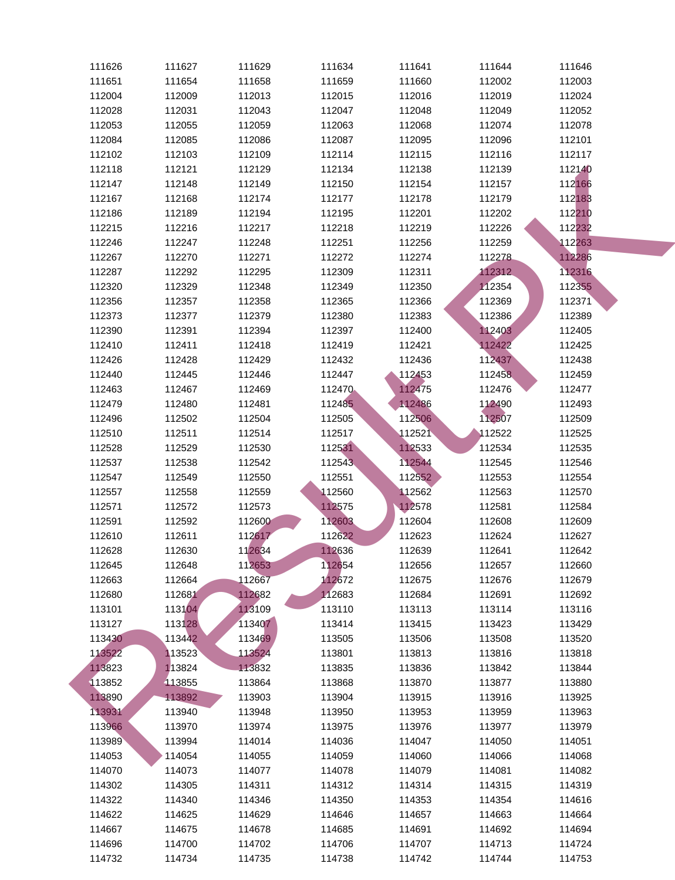| 111626 | 111627 | 111629 | 111634 | 111641 | 111644 | 111646 |
|--------|--------|--------|--------|--------|--------|--------|
| 111651 | 111654 | 111658 | 111659 | 111660 | 112002 | 112003 |
| 112004 | 112009 | 112013 | 112015 | 112016 | 112019 | 112024 |
| 112028 | 112031 | 112043 | 112047 | 112048 | 112049 | 112052 |
| 112053 | 112055 | 112059 | 112063 | 112068 | 112074 | 112078 |
| 112084 | 112085 | 112086 | 112087 | 112095 | 112096 | 112101 |
| 112102 | 112103 | 112109 | 112114 | 112115 | 112116 | 112117 |
| 112118 | 112121 | 112129 | 112134 | 112138 | 112139 | 112140 |
| 112147 | 112148 | 112149 | 112150 | 112154 | 112157 | 112166 |
| 112167 | 112168 | 112174 | 112177 | 112178 | 112179 | 112183 |
| 112186 | 112189 | 112194 | 112195 | 112201 | 112202 | 112210 |
| 112215 | 112216 | 112217 | 112218 | 112219 | 112226 | 112232 |
| 112246 | 112247 | 112248 | 112251 | 112256 | 112259 | 112263 |
| 112267 | 112270 | 112271 | 112272 | 112274 | 112278 | 112286 |
| 112287 | 112292 | 112295 | 112309 | 112311 | 112312 | 112316 |
| 112320 | 112329 | 112348 | 112349 | 112350 | 112354 | 112355 |
| 112356 | 112357 | 112358 | 112365 | 112366 | 112369 | 112371 |
| 112373 | 112377 | 112379 | 112380 | 112383 | 112386 | 112389 |
| 112390 | 112391 | 112394 | 112397 | 112400 | 112403 | 112405 |
| 112410 | 112411 | 112418 | 112419 | 112421 | 112422 | 112425 |
| 112426 | 112428 | 112429 | 112432 | 112436 | 112437 | 112438 |
| 112440 | 112445 | 112446 | 112447 | 112453 | 112458 | 112459 |
| 112463 | 112467 | 112469 | 112470 | 112475 | 112476 | 112477 |
| 112479 | 112480 | 112481 | 112485 | 112486 | 112490 | 112493 |
| 112496 | 112502 | 112504 | 112505 | 112506 | 112507 | 112509 |
| 112510 | 112511 | 112514 | 112517 | 112521 | 112522 | 112525 |
| 112528 | 112529 | 112530 | 112531 | 112533 | 112534 | 112535 |
| 112537 | 112538 | 112542 | 112543 | 112544 | 112545 | 112546 |
| 112547 | 112549 | 112550 | 112551 | 112552 | 112553 | 112554 |
| 112557 | 112558 | 112559 | 112560 | 112562 | 112563 | 112570 |
| 112571 | 112572 | 112573 | 112575 | 112578 | 112581 | 112584 |
| 112591 | 112592 | 112600 | 112603 | 112604 | 112608 | 112609 |
| 112610 | 112611 | 112617 | 112622 | 112623 | 112624 | 112627 |
| 112628 | 112630 | 112634 | 112636 | 112639 | 112641 | 112642 |
| 112645 | 112648 | 112653 | 112654 | 112656 | 112657 | 112660 |
| 112663 | 112664 | 112667 | 112672 | 112675 | 112676 | 112679 |
| 112680 | 112681 | 112682 | 112683 | 112684 | 112691 | 112692 |
| 113101 | 113104 | 113109 | 113110 | 113113 | 113114 | 113116 |
| 113127 | 113128 | 113407 | 113414 | 113415 | 113423 | 113429 |
| 113430 | 113442 | 113469 | 113505 | 113506 | 113508 | 113520 |
| 113522 | 113523 | 113524 | 113801 | 113813 | 113816 | 113818 |
| 113823 | 113824 | 113832 | 113835 | 113836 | 113842 | 113844 |
| 113852 | 113855 | 113864 | 113868 | 113870 | 113877 | 113880 |
| 113890 | 113892 | 113903 | 113904 | 113915 | 113916 | 113925 |
| 113931 | 113940 | 113948 | 113950 | 113953 | 113959 | 113963 |
| 113966 | 113970 | 113974 | 113975 | 113976 | 113977 | 113979 |
| 113989 | 113994 | 114014 | 114036 | 114047 | 114050 | 114051 |
| 114053 | 114054 | 114055 | 114059 | 114060 | 114066 | 114068 |
| 114070 | 114073 | 114077 | 114078 | 114079 | 114081 | 114082 |
| 114302 | 114305 | 114311 | 114312 | 114314 | 114315 | 114319 |
| 114322 | 114340 | 114346 | 114350 | 114353 | 114354 | 114616 |
| 114622 | 114625 | 114629 | 114646 | 114657 | 114663 | 114664 |
| 114667 | 114675 | 114678 | 114685 | 114691 | 114692 | 114694 |
| 114696 | 114700 | 114702 | 114706 | 114707 | 114713 | 114724 |
| 114732 | 114734 | 114735 | 114738 | 114742 | 114744 | 114753 |